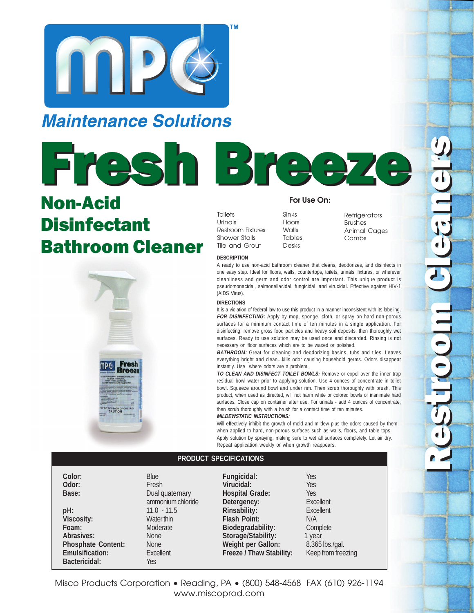

## **Maintenance Solutions**



# Non-Acid **Disinfectant** Bathroom Cleaner



### **For Use On:**

**Toilets** Urinals Restroom Fixtures Shower Stalls Tile and Grout

Sinks Floors Walls Tables Desks

Refrigerators Brushes Animal Cages Combs

#### **DESCRIPTION**

A ready to use non-acid bathroom cleaner that cleans, deodorizes, and disinfects in one easy step. Ideal for floors, walls, countertops, toilets, urinals, fixtures, or wherever cleanliness and germ and odor control are important. This unique product is pseudomonacidal, salmonellacidal, fungicidal, and virucidal. Effective against HIV-1 (AIDS Virus).

#### **DIRECTIONS**

It is a violation of federal law to use this product in a manner inconsistent with its labeling. FOR DISINFECTING: Apply by mop, sponge, cloth, or spray on hard non-porous surfaces for a minimum contact time of ten minutes in a single application. For disinfecting, remove gross food particles and heavy soil deposits, then thoroughly wet surfaces. Ready to use solution may be used once and discarded. Rinsing is not necessary on floor surfaces which are to be waxed or polished.

**BATHROOM:** Great for cleaning and deodorizing basins, tubs and tiles. Leaves everything bright and clean...kills odor causing household germs. Odors disappear instantly. Use where odors are a problem.

**TO CLEAN AND DISINFECT TOILET BOWLS:** Remove or expel over the inner trap residual bowl water prior to applying solution. Use 4 ounces of concentrate in toilet bowl. Squeeze around bowl and under rim. Then scrub thoroughly with brush. This product, when used as directed, will not harm white or colored bowls or inanimate hard surfaces. Close cap on container after use. For urinals - add 4 ounces of concentrate, then scrub thoroughly with a brush for a contact time of ten minutes.

#### **MILDEWSTATIC INSTRUCTIONS:**

Will effectively inhibit the growth of mold and mildew plus the odors caused by them when applied to hard, non-porous surfaces such as walls, floors, and table tops. Apply solution by spraying, making sure to wet all surfaces completely. Let air dry. Repeat application weekly or when growth reappears.

#### **PRODUCT SPECIFICATIONS**

**Color:** Blue<br> **Color:** Blue<br> **Color:** Fres

**pH:** 11.0 - 11.5 **Viscosity:** Water thin Foam: Moderate Abrasives: None **Phosphate Content:** None **Emulsification:** Excellent **Bactericidal:** Yes

**Odor:** Fresh **Base:** Dual quaternary ammonium chloride **Fungicidal:** Yes **Virucidal:** Yes **Hospital Grade:** Yes **Detergency:**<br> **Rinsability:**<br> **Excellent**<br> **Excellent Rinsability: Flash Point:** N/A **Biodegradability:** Complete **Storage/Stability:** 1 year Weight per Gallon: 8.365 lbs./gal. **Freeze / Thaw Stability:** Keep from freezing

Misco Products Corporation • Reading, PA • (800) 548-4568 FAX (610) 926-1194 www.miscoprod.com